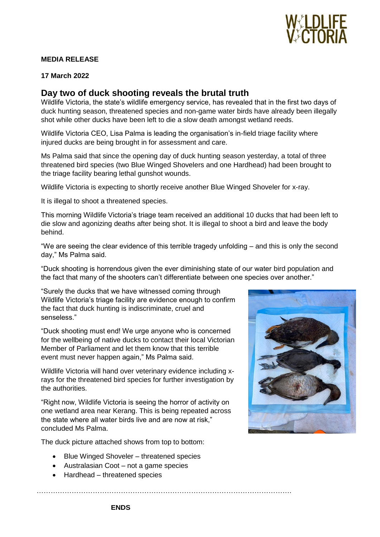

## **MEDIA RELEASE**

### **17 March 2022**

# **Day two of duck shooting reveals the brutal truth**

Wildlife Victoria, the state's wildlife emergency service, has revealed that in the first two days of duck hunting season, threatened species and non-game water birds have already been illegally shot while other ducks have been left to die a slow death amongst wetland reeds.

Wildlife Victoria CEO, Lisa Palma is leading the organisation's in-field triage facility where injured ducks are being brought in for assessment and care.

Ms Palma said that since the opening day of duck hunting season yesterday, a total of three threatened bird species (two Blue Winged Shovelers and one Hardhead) had been brought to the triage facility bearing lethal gunshot wounds.

Wildlife Victoria is expecting to shortly receive another Blue Winged Shoveler for x-ray.

It is illegal to shoot a threatened species.

This morning Wildlife Victoria's triage team received an additional 10 ducks that had been left to die slow and agonizing deaths after being shot. It is illegal to shoot a bird and leave the body behind.

"We are seeing the clear evidence of this terrible tragedy unfolding – and this is only the second day," Ms Palma said.

"Duck shooting is horrendous given the ever diminishing state of our water bird population and the fact that many of the shooters can't differentiate between one species over another."

"Surely the ducks that we have witnessed coming through Wildlife Victoria's triage facility are evidence enough to confirm the fact that duck hunting is indiscriminate, cruel and senseless."

"Duck shooting must end! We urge anyone who is concerned for the wellbeing of native ducks to contact their local Victorian Member of Parliament and let them know that this terrible event must never happen again," Ms Palma said.

Wildlife Victoria will hand over veterinary evidence including xrays for the threatened bird species for further investigation by the authorities.

"Right now, Wildlife Victoria is seeing the horror of activity on one wetland area near Kerang. This is being repeated across the state where all water birds live and are now at risk," concluded Ms Palma.

……………………………………………………………………………………………….

The duck picture attached shows from top to bottom:

- Blue Winged Shoveler threatened species
- Australasian Coot not a game species
- Hardhead threatened species



**ENDS**